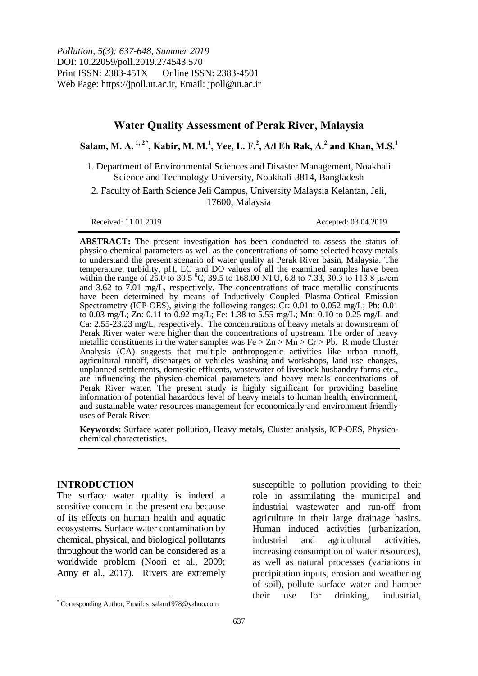*Pollution, 5(3): 637-648, Summer 2019* DOI: 10.22059/poll.2019.274543.570 Print ISSN: 2383-451X Online ISSN: 2383-4501 Web Page: https://jpoll.ut.ac.ir, Email: jpoll@ut.ac.ir

# **Water Quality Assessment of Perak River, Malaysia**

**Salam, M. A. 1, 2\* , Kabir, M. M.<sup>1</sup> , Yee, L. F.<sup>2</sup> , A/l Eh Rak, A.<sup>2</sup> and Khan, M.S.<sup>1</sup>**

1. Department of Environmental Sciences and Disaster Management, Noakhali Science and Technology University, Noakhali-3814, Bangladesh

2. Faculty of Earth Science Jeli Campus, University Malaysia Kelantan, Jeli, 17600, Malaysia

Received: 11.01.2019 Accepted: 03.04.2019

**ABSTRACT:** The present investigation has been conducted to assess the status of physico-chemical parameters as well as the concentrations of some selected heavy metals to understand the present scenario of water quality at Perak River basin, Malaysia. The temperature, turbidity, pH, EC and DO values of all the examined samples have been within the range of  $25.0$  to 30.5 °C, 39.5 to 168.00 NTU, 6.8 to 7.33, 30.3 to 113.8  $\mu$ s/cm and 3.62 to 7.01 mg/L, respectively. The concentrations of trace metallic constituents have been determined by means of Inductively Coupled Plasma-Optical Emission Spectrometry (ICP-OES), giving the following ranges:  $Cr: 0.01$  to  $0.052$  mg/L; Pb: 0.01 to 0.03 mg/L; Zn: 0.11 to 0.92 mg/L; Fe: 1.38 to 5.55 mg/L; Mn: 0.10 to 0.25 mg/L and Ca: 2.55-23.23 mg/L, respectively. The concentrations of heavy metals at downstream of Perak River water were higher than the concentrations of upstream. The order of heavy metallic constituents in the water samples was  $Fe > Zn > Mn > Cr > Pb$ . R mode Cluster Analysis (CA) suggests that multiple anthropogenic activities like urban runoff, agricultural runoff, discharges of vehicles washing and workshops, land use changes, unplanned settlements, domestic effluents, wastewater of livestock husbandry farms etc., are influencing the physico-chemical parameters and heavy metals concentrations of Perak River water. The present study is highly significant for providing baseline information of potential hazardous level of heavy metals to human health, environment, and sustainable water resources management for economically and environment friendly uses of Perak River.

**Keywords:** Surface water pollution, Heavy metals, Cluster analysis, ICP-OES, Physicochemical characteristics.

#### **INTRODUCTION**

 $\overline{\phantom{a}}$ 

The surface water quality is indeed a sensitive concern in the present era because of its effects on human health and aquatic ecosystems. Surface water contamination by chemical, physical, and biological pollutants throughout the world can be considered as a worldwide problem (Noori et al., 2009; Anny et al., 2017). Rivers are extremely

susceptible to pollution providing to their role in assimilating the municipal and industrial wastewater and run-off from agriculture in their large drainage basins. Human induced activities (urbanization, industrial and agricultural activities, increasing consumption of water resources), as well as natural processes (variations in precipitation inputs, erosion and weathering of soil), pollute surface water and hamper their use for drinking, industrial,

<sup>\*</sup> Corresponding Author, Email: s\_salam1978@yahoo.com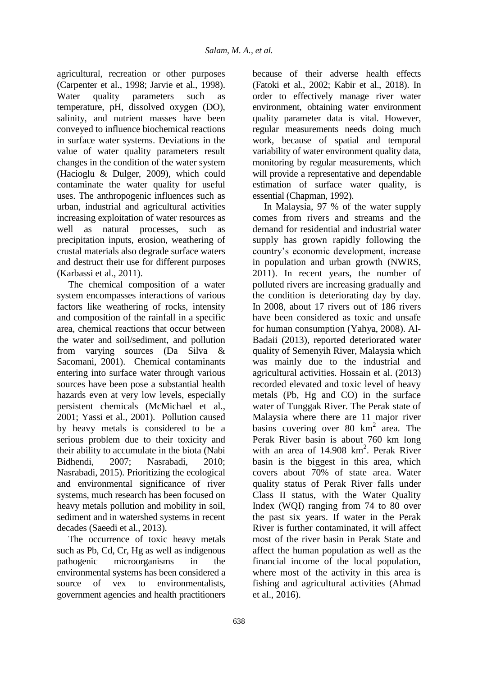agricultural, recreation or other purposes (Carpenter et al., 1998; Jarvie et al., 1998). Water quality parameters such as temperature, pH, dissolved oxygen (DO), salinity, and nutrient masses have been conveyed to influence biochemical reactions in surface water systems. Deviations in the value of water quality parameters result changes in the condition of the water system (Hacioglu & Dulger, 2009), which could contaminate the water quality for useful uses. The anthropogenic influences such as urban, industrial and agricultural activities increasing exploitation of water resources as well as natural processes, such as precipitation inputs, erosion, weathering of crustal materials also degrade surface waters and destruct their use for different purposes (Karbassi et al., 2011).

The chemical composition of a water system encompasses interactions of various factors like weathering of rocks, intensity and composition of the rainfall in a specific area, chemical reactions that occur between the water and soil/sediment, and pollution from varying sources (Da Silva & Sacomani, 2001). Chemical contaminants entering into surface water through various sources have been pose a substantial health hazards even at very low levels, especially persistent chemicals (McMichael et al., 2001; Yassi et al., 2001). Pollution caused by heavy metals is considered to be a serious problem due to their toxicity and their ability to accumulate in the biota (Nabi Bidhendi, 2007; Nasrabadi, 2010; Nasrabadi, 2015). Prioritizing the ecological and environmental significance of river systems, much research has been focused on heavy metals pollution and mobility in soil, sediment and in watershed systems in recent decades (Saeedi et al., 2013).

The occurrence of toxic heavy metals such as Pb, Cd, Cr, Hg as well as indigenous pathogenic microorganisms in the environmental systems has been considered a source of vex to environmentalists, government agencies and health practitioners because of their adverse health effects (Fatoki et al., 2002; Kabir et al., 2018). In order to effectively manage river water environment, obtaining water environment quality parameter data is vital. However, regular measurements needs doing much work, because of spatial and temporal variability of water environment quality data, monitoring by regular measurements, which will provide a representative and dependable estimation of surface water quality, is essential (Chapman, 1992).

In Malaysia, 97 % of the water supply comes from rivers and streams and the demand for residential and industrial water supply has grown rapidly following the country"s economic development, increase in population and urban growth (NWRS, 2011). In recent years, the number of polluted rivers are increasing gradually and the condition is deteriorating day by day. In 2008, about 17 rivers out of 186 rivers have been considered as toxic and unsafe for human consumption (Yahya, 2008). Al-Badaii (2013), reported deteriorated water quality of Semenyih River, Malaysia which was mainly due to the industrial and agricultural activities. Hossain et al. (2013) recorded elevated and toxic level of heavy metals (Pb, Hg and CO) in the surface water of Tunggak River. The Perak state of Malaysia where there are 11 major river basins covering over  $80 \text{ km}^2$  area. The Perak River basin is about 760 km long with an area of 14.908 km<sup>2</sup>. Perak River basin is the biggest in this area, which covers about 70% of state area. Water quality status of Perak River falls under Class II status, with the Water Quality Index (WQI) ranging from 74 to 80 over the past six years. If water in the Perak River is further contaminated, it will affect most of the river basin in Perak State and affect the human population as well as the financial income of the local population, where most of the activity in this area is fishing and agricultural activities (Ahmad et al., 2016).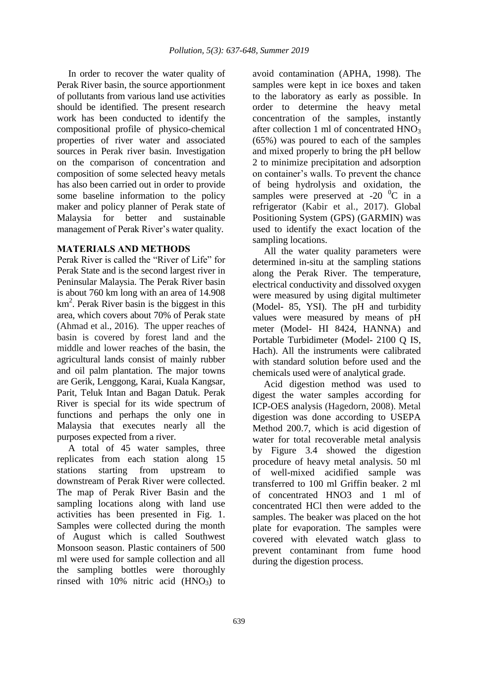In order to recover the water quality of Perak River basin, the source apportionment of pollutants from various land use activities should be identified. The present research work has been conducted to identify the compositional profile of physico-chemical properties of river water and associated sources in Perak river basin. Investigation on the comparison of concentration and composition of some selected heavy metals has also been carried out in order to provide some baseline information to the policy maker and policy planner of Perak state of Malaysia for better and sustainable management of Perak River's water quality.

## **MATERIALS AND METHODS**

Perak River is called the "River of Life" for Perak State and is the second largest river in Peninsular Malaysia. The Perak River basin is about 760 km long with an area of 14.908 km<sup>2</sup> . Perak River basin is the biggest in this area, which covers about 70% of Perak state (Ahmad et al., 2016). The upper reaches of basin is covered by forest land and the middle and lower reaches of the basin, the agricultural lands consist of mainly rubber and oil palm plantation. The major towns are Gerik, Lenggong, Karai, Kuala Kangsar, Parit, Teluk Intan and Bagan Datuk. Perak River is special for its wide spectrum of functions and perhaps the only one in Malaysia that executes nearly all the purposes expected from a river.

A total of 45 water samples, three replicates from each station along 15 stations starting from upstream to downstream of Perak River were collected. The map of Perak River Basin and the sampling locations along with land use activities has been presented in Fig. 1. Samples were collected during the month of August which is called Southwest Monsoon season. Plastic containers of 500 ml were used for sample collection and all the sampling bottles were thoroughly rinsed with  $10\%$  nitric acid  $(HNO_3)$  to

avoid contamination (APHA, 1998). The samples were kept in ice boxes and taken to the laboratory as early as possible. In order to determine the heavy metal concentration of the samples, instantly after collection 1 ml of concentrated  $HNO<sub>3</sub>$ (65%) was poured to each of the samples and mixed properly to bring the pH bellow 2 to minimize precipitation and adsorption on container"s walls. To prevent the chance of being hydrolysis and oxidation, the samples were preserved at -20  $^{0}$ C in a refrigerator (Kabir et al., 2017). Global Positioning System (GPS) (GARMIN) was used to identify the exact location of the sampling locations.

All the water quality parameters were determined in-situ at the sampling stations along the Perak River. The temperature, electrical conductivity and dissolved oxygen were measured by using digital multimeter (Model- 85, YSI). The pH and turbidity values were measured by means of pH meter (Model- HI 8424, HANNA) and Portable Turbidimeter (Model- 2100 Q IS, Hach). All the instruments were calibrated with standard solution before used and the chemicals used were of analytical grade.

Acid digestion method was used to digest the water samples according for ICP-OES analysis (Hagedorn, 2008). Metal digestion was done according to USEPA Method 200.7, which is acid digestion of water for total recoverable metal analysis by Figure 3.4 showed the digestion procedure of heavy metal analysis. 50 ml of well-mixed acidified sample was transferred to 100 ml Griffin beaker. 2 ml of concentrated HNO3 and 1 ml of concentrated HCl then were added to the samples. The beaker was placed on the hot plate for evaporation. The samples were covered with elevated watch glass to prevent contaminant from fume hood during the digestion process.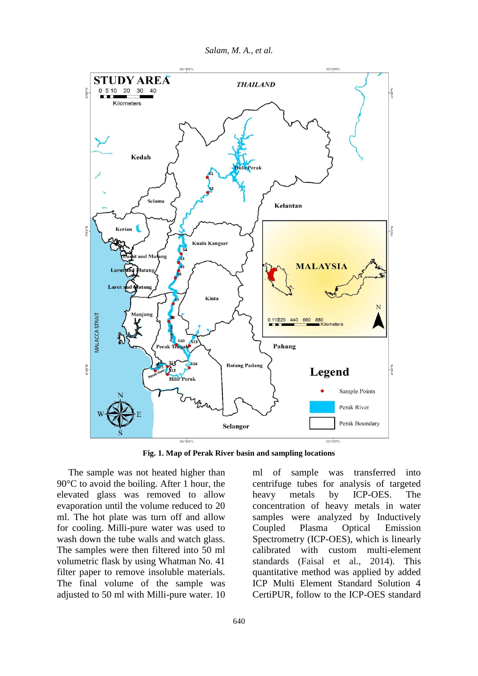*Salam, M. A., et al.*



**Fig. 1. Map of Perak River basin and sampling locations**

The sample was not heated higher than 90°C to avoid the boiling. After 1 hour, the elevated glass was removed to allow evaporation until the volume reduced to 20 ml. The hot plate was turn off and allow for cooling. Milli-pure water was used to wash down the tube walls and watch glass. The samples were then filtered into 50 ml volumetric flask by using Whatman No. 41 filter paper to remove insoluble materials. The final volume of the sample was adjusted to 50 ml with Milli-pure water. 10 ml of sample was transferred into centrifuge tubes for analysis of targeted heavy metals by ICP-OES. The concentration of heavy metals in water samples were analyzed by Inductively Coupled Plasma Optical Emission Spectrometry (ICP-OES), which is linearly calibrated with custom multi-element standards (Faisal et al., 2014). This quantitative method was applied by added ICP Multi Element Standard Solution 4 CertiPUR, follow to the ICP-OES standard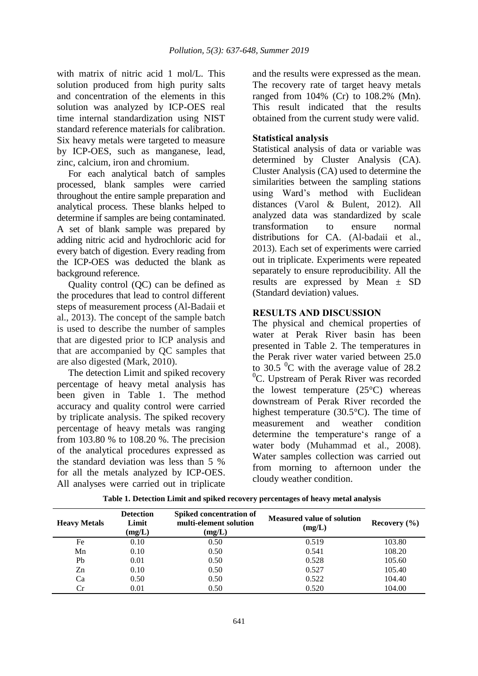with matrix of nitric acid 1 mol/L. This solution produced from high purity salts and concentration of the elements in this solution was analyzed by ICP-OES real time internal standardization using NIST standard reference materials for calibration. Six heavy metals were targeted to measure by ICP-OES, such as manganese, lead, zinc, calcium, iron and chromium.

For each analytical batch of samples processed, blank samples were carried throughout the entire sample preparation and analytical process. These blanks helped to determine if samples are being contaminated. A set of blank sample was prepared by adding nitric acid and hydrochloric acid for every batch of digestion. Every reading from the ICP-OES was deducted the blank as background reference.

Quality control (QC) can be defined as the procedures that lead to control different steps of measurement process (Al-Badaii et al., 2013). The concept of the sample batch is used to describe the number of samples that are digested prior to ICP analysis and that are accompanied by QC samples that are also digested (Mark, 2010).

The detection Limit and spiked recovery percentage of heavy metal analysis has been given in Table 1. The method accuracy and quality control were carried by triplicate analysis. The spiked recovery percentage of heavy metals was ranging from 103.80 % to 108.20 %. The precision of the analytical procedures expressed as the standard deviation was less than 5 % for all the metals analyzed by ICP-OES. All analyses were carried out in triplicate

and the results were expressed as the mean. The recovery rate of target heavy metals ranged from 104% (Cr) to 108.2% (Mn). This result indicated that the results obtained from the current study were valid.

## **Statistical analysis**

Statistical analysis of data or variable was determined by Cluster Analysis (CA). Cluster Analysis (CA) used to determine the similarities between the sampling stations using Ward"s method with Euclidean distances (Varol & Bulent, 2012). All analyzed data was standardized by scale transformation to ensure normal distributions for CA. (Al-badaii et al., 2013). Each set of experiments were carried out in triplicate. Experiments were repeated separately to ensure reproducibility. All the results are expressed by Mean ± SD (Standard deviation) values.

## **RESULTS AND DISCUSSION**

The physical and chemical properties of water at Perak River basin has been presented in Table 2. The temperatures in the Perak river water varied between 25.0 to 30.5  $\mathrm{^0C}$  with the average value of 28.2  ${}^{0}C$ . Upstream of Perak River was recorded the lowest temperature  $(25^{\circ}C)$  whereas downstream of Perak River recorded the highest temperature (30.5°C). The time of measurement and weather condition determine the temperature's range of a water body (Muhammad et al., 2008). Water samples collection was carried out from morning to afternoon under the cloudy weather condition.

| <b>Heavy Metals</b> | <b>Detection</b><br>Limit<br>(mg/L) | Spiked concentration of<br>multi-element solution<br>(mg/L) | <b>Measured value of solution</b><br>(mg/L) | Recovery $(\% )$ |  |  |
|---------------------|-------------------------------------|-------------------------------------------------------------|---------------------------------------------|------------------|--|--|
| Fe                  | 0.10                                | 0.50                                                        | 0.519                                       | 103.80           |  |  |
| Mn                  | 0.10                                | 0.50                                                        | 0.541                                       | 108.20           |  |  |
| Pb                  | 0.01                                | 0.50                                                        | 0.528                                       | 105.60           |  |  |
| Zn                  | 0.10                                | 0.50                                                        | 0.527                                       | 105.40           |  |  |
| Ca                  | 0.50                                | 0.50                                                        | 0.522                                       | 104.40           |  |  |
| Cr                  | 0.01                                | 0.50                                                        | 0.520                                       | 104.00           |  |  |

 **Table 1. Detection Limit and spiked recovery percentages of heavy metal analysis**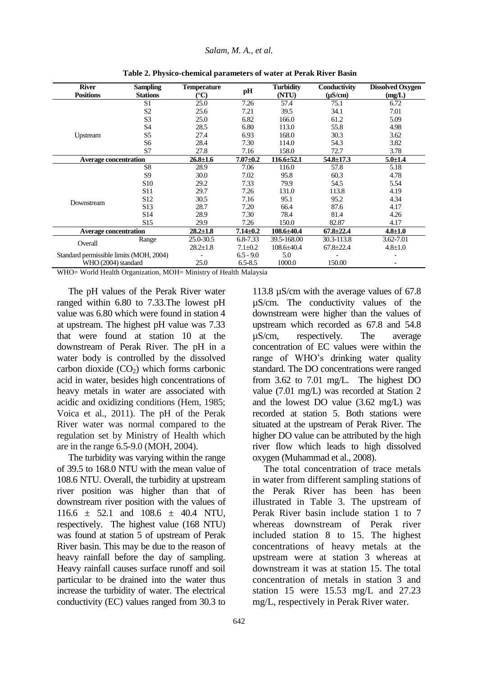| <b>River</b><br><b>Positions</b>        | <b>Sampling</b><br><b>Stations</b> | <b>Temperature</b><br>$\rm ^{\circ}C$ | pH             | <b>Turbidity</b><br>(NTU) | Conductivity<br>$(\mu S/cm)$ | <b>Dissolved Oxygen</b><br>(mg/L) |  |
|-----------------------------------------|------------------------------------|---------------------------------------|----------------|---------------------------|------------------------------|-----------------------------------|--|
|                                         | S <sub>1</sub>                     | 25.0                                  | 7.26           | 57.4                      | 75.1                         | 6.72                              |  |
|                                         | S <sub>2</sub>                     | 25.6                                  | 7.21           | 39.5                      | 34.1                         | 7.01                              |  |
|                                         | S <sub>3</sub>                     | 25.0                                  | 6.82           | 166.0                     | 61.2                         | 5.09                              |  |
|                                         | S4                                 | 28.5                                  | 6.80           | 113.0                     | 55.8                         | 4.98                              |  |
| Upstream                                | S5                                 | 27.4                                  | 6.93           | 168.0                     | 30.3                         | 3.62                              |  |
|                                         | S6                                 | 28.4                                  | 7.30           | 114.0                     | 54.3                         | 3.82                              |  |
|                                         | S7                                 | 27.8                                  | 7.16           | 158.0                     | 72.7                         | 3.78                              |  |
| <b>Average concentration</b>            |                                    | $26.8 \pm 1.6$                        | $7.07 \pm 0.2$ | $116.6 \pm 52.1$          | $54.8 \pm 17.3$              | $5.0 \pm 1.4$                     |  |
|                                         | S <sub>8</sub>                     | 28.9                                  | 7.06           | 116.0                     | 57.8                         | 5.18                              |  |
|                                         | S <sub>9</sub>                     | 30.0                                  | 7.02           | 95.8                      | 60.3                         | 4.78                              |  |
|                                         | S <sub>10</sub>                    | 29.2                                  | 7.33           | 79.9                      | 54.5                         | 5.54                              |  |
|                                         | S <sub>11</sub>                    | 29.7                                  | 7.26           | 131.0                     | 113.8                        | 4.19                              |  |
|                                         | S <sub>12</sub>                    | 30.5                                  | 7.16           | 95.1                      | 95.2                         | 4.34                              |  |
| Downstream                              | S <sub>13</sub>                    | 28.7                                  | 7.20           | 66.4                      | 87.6                         | 4.17                              |  |
|                                         | S <sub>14</sub>                    | 28.9                                  | 7.30           | 78.4                      | 81.4                         | 4.26                              |  |
|                                         | S <sub>15</sub>                    | 29.9                                  | 7.26           | 150.0                     | 82.87                        | 4.17                              |  |
| <b>Average concentration</b>            |                                    | $28.2 \pm 1.8$                        | $7.14 \pm 0.2$ | $108.6{\pm}40.4$          | $67.8 \pm 22.4$              | $4.8 \pm 1.0$                     |  |
|                                         | Range                              | 25.0-30.5                             | 6.8-7.33       | 39.5-168.00               | 30.3-113.8                   | 3.62-7.01                         |  |
| Overall                                 |                                    | $28.2 \pm 1.8$                        | $7.1 \pm 0.2$  | $108.6 \pm 40.4$          | $67.8 \pm 22.4$              | $4.8 \pm 1.0$                     |  |
| Standard permissible limits (MOH, 2004) |                                    |                                       | $6.5 - 9.0$    | 5.0                       |                              |                                   |  |
| WHO (2004) standard                     |                                    | 25.0                                  | $6.5 - 8.5$    | 1000.0                    | 150.00                       |                                   |  |

**Table 2. Physico-chemical parameters of water at Perak River Basin**

WHO= World Health Organization, MOH= Ministry of Health Malaysia

The pH values of the Perak River water ranged within 6.80 to 7.33.The lowest pH value was 6.80 which were found in station 4 at upstream. The highest pH value was 7.33 that were found at station 10 at the downstream of Perak River. The pH in a water body is controlled by the dissolved carbon dioxide  $(CO<sub>2</sub>)$  which forms carbonic acid in water, besides high concentrations of heavy metals in water are associated with acidic and oxidizing conditions (Hem, 1985; Voica et al., 2011). The pH of the Perak River water was normal compared to the regulation set by Ministry of Health which are in the range 6.5-9.0 (MOH, 2004).

The turbidity was varying within the range of 39.5 to 168.0 NTU with the mean value of 108.6 NTU. Overall, the turbidity at upstream river position was higher than that of downstream river position with the values of 116.6 ± 52.1 and 108.6 ± 40.4 NTU, respectively. The highest value (168 NTU) was found at station 5 of upstream of Perak River basin. This may be due to the reason of heavy rainfall before the day of sampling. Heavy rainfall causes surface runoff and soil particular to be drained into the water thus increase the turbidity of water. The electrical conductivity (EC) values ranged from 30.3 to

113.8 µS/cm with the average values of 67.8 µS/cm. The conductivity values of the downstream were higher than the values of upstream which recorded as 67.8 and 54.8 µS/cm, respectively. The average concentration of EC values were within the range of WHO"s drinking water quality standard. The DO concentrations were ranged from 3.62 to 7.01 mg/L. The highest DO value (7.01 mg/L) was recorded at Station 2 and the lowest DO value (3.62 mg/L) was recorded at station 5. Both stations were situated at the upstream of Perak River. The higher DO value can be attributed by the high river flow which leads to high dissolved oxygen (Muhammad et al., 2008).

The total concentration of trace metals in water from different sampling stations of the Perak River has been has been illustrated in Table 3. The upstream of Perak River basin include station 1 to 7 whereas downstream of Perak river included station 8 to 15. The highest concentrations of heavy metals at the upstream were at station 3 whereas at downstream it was at station 15. The total concentration of metals in station 3 and station 15 were 15.53 mg/L and 27.23 mg/L, respectively in Perak River water.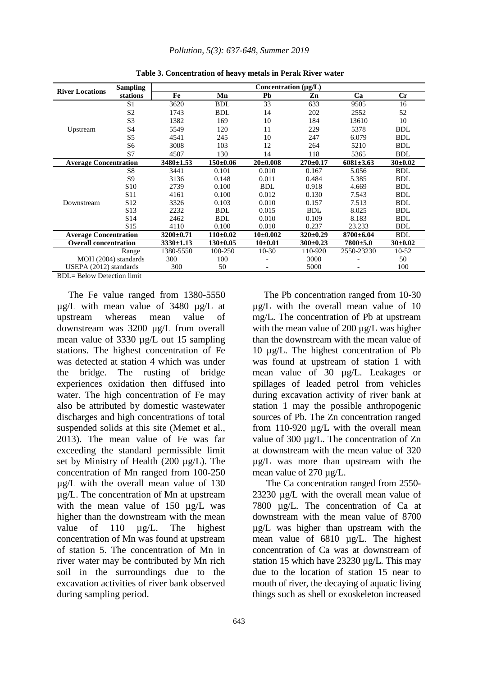|                              | <b>Sampling</b> | Concentration (µg/L) |            |                |                |                 |             |  |  |
|------------------------------|-----------------|----------------------|------------|----------------|----------------|-----------------|-------------|--|--|
| <b>River Locations</b>       | stations        | Fe                   | Mn         | Pb             | Zn             | Ca              | Cr          |  |  |
|                              | S <sub>1</sub>  | 3620                 | <b>BDL</b> | 33             | 633            | 9505            | 16          |  |  |
|                              | S <sub>2</sub>  | 1743                 | <b>BDL</b> | 14             | 202            | 2552            | 52          |  |  |
|                              | S <sub>3</sub>  | 1382                 | 169        | 10             | 184            | 13610           | 10          |  |  |
| Upstream                     | S4              | 5549                 | 120        | 11             | 229            | 5378            | <b>BDL</b>  |  |  |
|                              | S5              | 4541                 | 245        | 10             | 247            | 6.079           | <b>BDL</b>  |  |  |
|                              | S6              | 3008                 | 103        | 12             | 264            | 5210            | <b>BDL</b>  |  |  |
|                              | S7              | 4507                 | 130        | 14             | 118            | 5365            | <b>BDL</b>  |  |  |
| <b>Average Concentration</b> |                 | $3480 \pm 1.53$      | $150+0.06$ | $20 \pm 0.008$ | $270 \pm 0.17$ | $6081 \pm 3.63$ | $30\pm0.02$ |  |  |
|                              | S8              | 3441                 | 0.101      | 0.010          | 0.167          | 5.056           | <b>BDL</b>  |  |  |
|                              | S <sub>9</sub>  | 3136                 | 0.148      | 0.011          | 0.484          | 5.385           | <b>BDL</b>  |  |  |
|                              | S <sub>10</sub> | 2739                 | 0.100      | <b>BDL</b>     | 0.918          | 4.669           | <b>BDL</b>  |  |  |
|                              | S <sub>11</sub> | 4161                 | 0.100      | 0.012          | 0.130          | 7.543           | <b>BDL</b>  |  |  |
| Downstream                   | S <sub>12</sub> | 3326                 | 0.103      | 0.010          | 0.157          | 7.513           | <b>BDL</b>  |  |  |
|                              | S <sub>13</sub> | 2232                 | <b>BDL</b> | 0.015          | <b>BDL</b>     | 8.025           | <b>BDL</b>  |  |  |
|                              | S <sub>14</sub> | 2462                 | <b>BDL</b> | 0.010          | 0.109          | 8.183           | <b>BDL</b>  |  |  |
|                              | S <sub>15</sub> | 4110                 | 0.100      | 0.010          | 0.237          | 23.233          | <b>BDL</b>  |  |  |
| <b>Average Concentration</b> |                 | 3200±0.71            | $110+0.02$ | $10{\pm}0.002$ | $320 \pm 0.29$ | $8700 \pm 6.04$ | <b>BDL</b>  |  |  |
| <b>Overall concentration</b> |                 | $3330 \pm 1.13$      | $130+0.05$ | $10{\pm}0.01$  | $300 \pm 0.23$ | $7800 + 5.0$    | $30\pm0.02$ |  |  |
| Range                        |                 | 1380-5550            | 100-250    | $10-30$        | 110-920        | 2550-23230      | $10-52$     |  |  |
| MOH (2004) standards         |                 | 300                  | 100        |                | 3000           |                 | 50          |  |  |
| USEPA (2012) standards       |                 | 300                  | 50         |                | 5000           |                 | 100         |  |  |

**Table 3. Concentration of heavy metals in Perak River water** 

BDL= Below Detection limit

The Fe value ranged from 1380-5550 µg/L with mean value of 3480 µg/L at upstream whereas mean value of downstream was 3200 µg/L from overall mean value of 3330 µg/L out 15 sampling stations. The highest concentration of Fe was detected at station 4 which was under the bridge. The rusting of bridge experiences oxidation then diffused into water. The high concentration of Fe may also be attributed by domestic wastewater discharges and high concentrations of total suspended solids at this site (Memet et al., 2013). The mean value of Fe was far exceeding the standard permissible limit set by Ministry of Health (200 µg/L). The concentration of Mn ranged from 100-250 µg/L with the overall mean value of 130 µg/L. The concentration of Mn at upstream with the mean value of 150 ug/L was higher than the downstream with the mean value of 110 ug/L. The highest concentration of Mn was found at upstream of station 5. The concentration of Mn in river water may be contributed by Mn rich soil in the surroundings due to the excavation activities of river bank observed during sampling period.

The Pb concentration ranged from 10-30 µg/L with the overall mean value of 10 mg/L. The concentration of Pb at upstream with the mean value of 200  $\mu$ g/L was higher than the downstream with the mean value of 10 µg/L. The highest concentration of Pb was found at upstream of station 1 with mean value of 30 µg/L. Leakages or spillages of leaded petrol from vehicles during excavation activity of river bank at station 1 may the possible anthropogenic sources of Pb. The Zn concentration ranged from 110-920 µg/L with the overall mean value of 300 µg/L. The concentration of Zn at downstream with the mean value of 320 µg/L was more than upstream with the mean value of 270 µg/L.

The Ca concentration ranged from 2550- 23230 µg/L with the overall mean value of 7800 µg/L. The concentration of Ca at downstream with the mean value of 8700 µg/L was higher than upstream with the mean value of 6810 µg/L. The highest concentration of Ca was at downstream of station 15 which have 23230 ug/L. This may due to the location of station 15 near to mouth of river, the decaying of aquatic living things such as shell or exoskeleton increased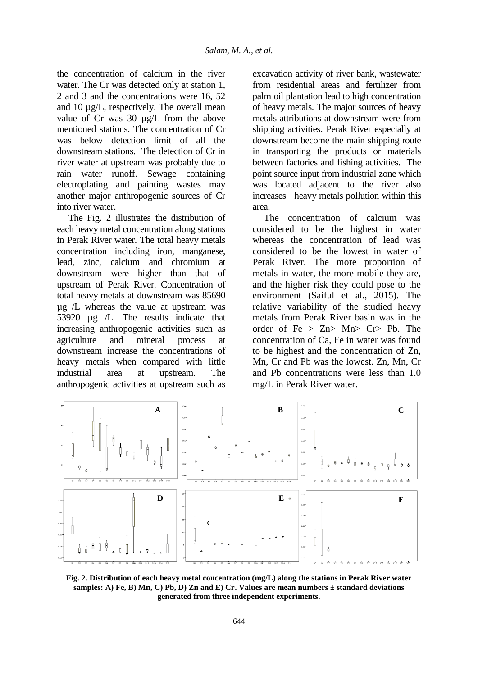the concentration of calcium in the river water. The Cr was detected only at station 1. 2 and 3 and the concentrations were 16, 52 and 10 µg/L, respectively. The overall mean value of Cr was 30 µg/L from the above mentioned stations. The concentration of Cr was below detection limit of all the downstream stations. The detection of Cr in river water at upstream was probably due to rain water runoff. Sewage containing electroplating and painting wastes may another major anthropogenic sources of Cr into river water.

The Fig. 2 illustrates the distribution of each heavy metal concentration along stations in Perak River water. The total heavy metals concentration including iron, manganese, lead, zinc, calcium and chromium at downstream were higher than that of upstream of Perak River. Concentration of total heavy metals at downstream was 85690 µg /L whereas the value at upstream was 53920 µg /L. The results indicate that increasing anthropogenic activities such as agriculture and mineral process at downstream increase the concentrations of heavy metals when compared with little industrial area at upstream. The anthropogenic activities at upstream such as

excavation activity of river bank, wastewater from residential areas and fertilizer from palm oil plantation lead to high concentration of heavy metals. The major sources of heavy metals attributions at downstream were from shipping activities. Perak River especially at downstream become the main shipping route in transporting the products or materials between factories and fishing activities. The point source input from industrial zone which was located adjacent to the river also increases heavy metals pollution within this area.

The concentration of calcium was considered to be the highest in water whereas the concentration of lead was considered to be the lowest in water of Perak River. The more proportion of metals in water, the more mobile they are, and the higher risk they could pose to the environment (Saiful et al., 2015). The relative variability of the studied heavy metals from Perak River basin was in the order of  $Fe > Zn > Mn > Cr > Pb$ . The concentration of Ca, Fe in water was found to be highest and the concentration of Zn, Mn, Cr and Pb was the lowest. Zn, Mn, Cr and Pb concentrations were less than 1.0 mg/L in Perak River water.



**Fig. 2. Distribution of each heavy metal concentration (mg/L) along the stations in Perak River water samples: A) Fe, B) Mn, C) Pb, D) Zn and E) Cr. Values are mean numbers ± standard deviations generated from three independent experiments.**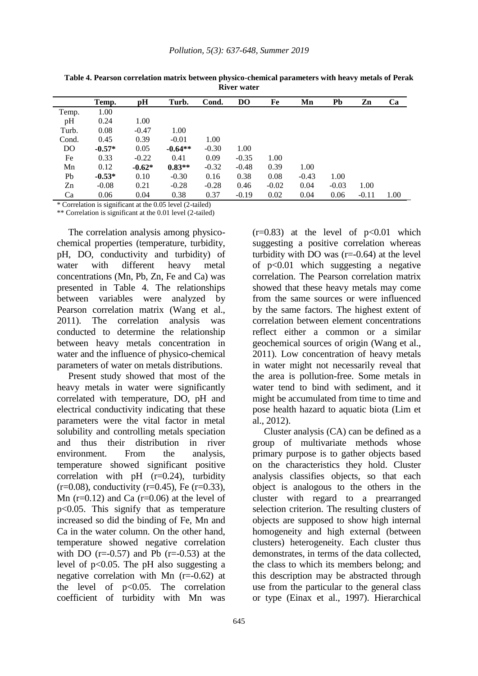|       | Temp.    | pH       | Turb.     | Cond.   | <b>DO</b> | Fe      | Mn      | Pb      | Zn      | Ca   |
|-------|----------|----------|-----------|---------|-----------|---------|---------|---------|---------|------|
| Temp. | 1.00     |          |           |         |           |         |         |         |         |      |
| pH    | 0.24     | 1.00     |           |         |           |         |         |         |         |      |
| Turb. | 0.08     | $-0.47$  | 1.00      |         |           |         |         |         |         |      |
| Cond. | 0.45     | 0.39     | $-0.01$   | 1.00    |           |         |         |         |         |      |
| DO.   | $-0.57*$ | 0.05     | $-0.64**$ | $-0.30$ | 1.00      |         |         |         |         |      |
| Fe    | 0.33     | $-0.22$  | 0.41      | 0.09    | $-0.35$   | 1.00    |         |         |         |      |
| Mn    | 0.12     | $-0.62*$ | $0.83**$  | $-0.32$ | $-0.48$   | 0.39    | 1.00    |         |         |      |
| Pb    | $-0.53*$ | 0.10     | $-0.30$   | 0.16    | 0.38      | 0.08    | $-0.43$ | 1.00    |         |      |
| Zn    | $-0.08$  | 0.21     | $-0.28$   | $-0.28$ | 0.46      | $-0.02$ | 0.04    | $-0.03$ | 1.00    |      |
| Ca    | 0.06     | 0.04     | 0.38      | 0.37    | $-0.19$   | 0.02    | 0.04    | 0.06    | $-0.11$ | 1.00 |

**Table 4. Pearson correlation matrix between physico-chemical parameters with heavy metals of Perak River water**

\* Correlation is significant at the 0.05 level (2-tailed)

\*\* Correlation is significant at the 0.01 level (2-tailed)

The correlation analysis among physicochemical properties (temperature, turbidity, pH, DO, conductivity and turbidity) of water with different heavy metal concentrations (Mn, Pb, Zn, Fe and Ca) was presented in Table 4. The relationships between variables were analyzed by Pearson correlation matrix (Wang et al., 2011). The correlation analysis was conducted to determine the relationship between heavy metals concentration in water and the influence of physico-chemical parameters of water on metals distributions.

Present study showed that most of the heavy metals in water were significantly correlated with temperature, DO, pH and electrical conductivity indicating that these parameters were the vital factor in metal solubility and controlling metals speciation and thus their distribution in river environment. From the analysis, temperature showed significant positive correlation with  $pH$  ( $r=0.24$ ), turbidity  $(r=0.08)$ , conductivity  $(r=0.45)$ , Fe  $(r=0.33)$ , Mn ( $r=0.12$ ) and Ca ( $r=0.06$ ) at the level of p<0.05. This signify that as temperature increased so did the binding of Fe, Mn and Ca in the water column. On the other hand, temperature showed negative correlation with DO  $(r=0.57)$  and Pb  $(r=-0.53)$  at the level of  $p<0.05$ . The pH also suggesting a negative correlation with Mn  $(r=0.62)$  at the level of p<0.05. The correlation coefficient of turbidity with Mn was

 $(r=0.83)$  at the level of  $p<0.01$  which suggesting a positive correlation whereas turbidity with DO was  $(r=0.64)$  at the level of p<0.01 which suggesting a negative correlation. The Pearson correlation matrix showed that these heavy metals may come from the same sources or were influenced by the same factors. The highest extent of correlation between element concentrations reflect either a common or a similar geochemical sources of origin (Wang et al., 2011). Low concentration of heavy metals in water might not necessarily reveal that the area is pollution-free. Some metals in water tend to bind with sediment, and it might be accumulated from time to time and pose health hazard to aquatic biota (Lim et al., 2012).

Cluster analysis (CA) can be defined as a group of multivariate methods whose primary purpose is to gather objects based on the characteristics they hold. Cluster analysis classifies objects, so that each object is analogous to the others in the cluster with regard to a prearranged selection criterion. The resulting clusters of objects are supposed to show high internal homogeneity and high external (between clusters) heterogeneity. Each cluster thus demonstrates, in terms of the data collected, the class to which its members belong; and this description may be abstracted through use from the particular to the general class or type (Einax et al., 1997). Hierarchical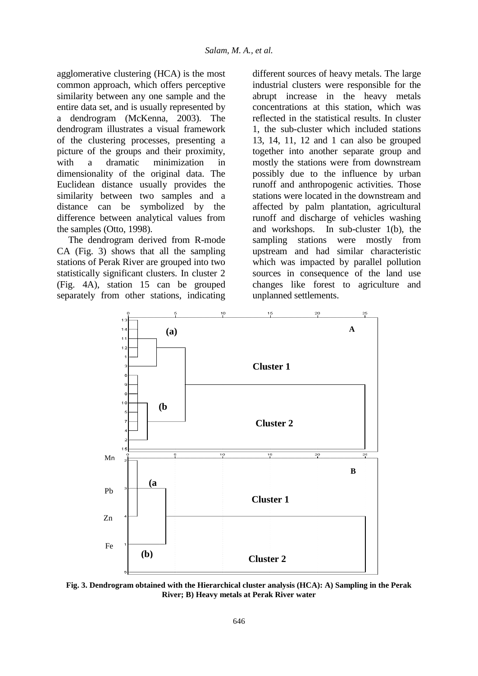agglomerative clustering (HCA) is the most common approach, which offers perceptive similarity between any one sample and the entire data set, and is usually represented by a dendrogram (McKenna, 2003). The dendrogram illustrates a visual framework of the clustering processes, presenting a picture of the groups and their proximity, with a dramatic minimization in dimensionality of the original data. The Euclidean distance usually provides the similarity between two samples and a distance can be symbolized by the difference between analytical values from the samples (Otto, 1998).

The dendrogram derived from R-mode CA (Fig. 3) shows that all the sampling stations of Perak River are grouped into two statistically significant clusters. In cluster 2 (Fig. 4A), station 15 can be grouped separately from other stations, indicating

different sources of heavy metals. The large industrial clusters were responsible for the abrupt increase in the heavy metals concentrations at this station, which was reflected in the statistical results. In cluster 1, the sub-cluster which included stations 13, 14, 11, 12 and 1 can also be grouped together into another separate group and mostly the stations were from downstream possibly due to the influence by urban runoff and anthropogenic activities. Those stations were located in the downstream and affected by palm plantation, agricultural runoff and discharge of vehicles washing and workshops. In sub-cluster 1(b), the sampling stations were mostly from upstream and had similar characteristic which was impacted by parallel pollution sources in consequence of the land use changes like forest to agriculture and unplanned settlements.



**Fig. 3. Dendrogram obtained with the Hierarchical cluster analysis (HCA): A) Sampling in the Perak River; B) Heavy metals at Perak River water**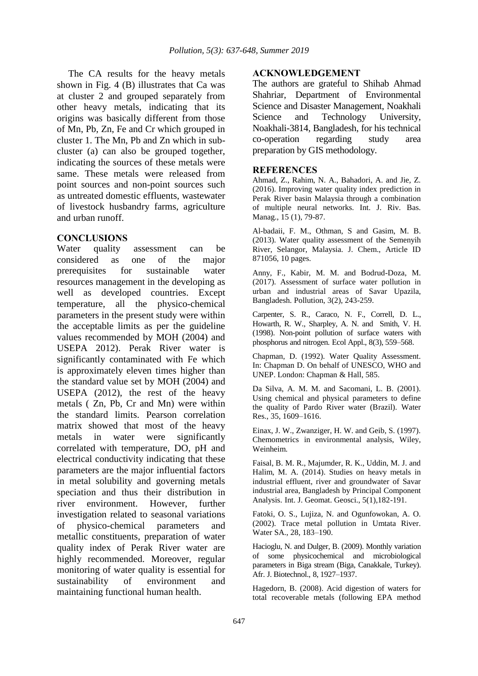The CA results for the heavy metals shown in Fig. 4 (B) illustrates that Ca was at cluster 2 and grouped separately from other heavy metals, indicating that its origins was basically different from those of Mn, Pb, Zn, Fe and Cr which grouped in cluster 1. The Mn, Pb and Zn which in subcluster (a) can also be grouped together, indicating the sources of these metals were same. These metals were released from point sources and non-point sources such as untreated domestic effluents, wastewater of livestock husbandry farms, agriculture and urban runoff.

### **CONCLUSIONS**

Water quality assessment can be considered as one of the major prerequisites for sustainable water resources management in the developing as well as developed countries. Except temperature, all the physico-chemical parameters in the present study were within the acceptable limits as per the guideline values recommended by MOH (2004) and USEPA 2012). Perak River water is significantly contaminated with Fe which is approximately eleven times higher than the standard value set by MOH (2004) and USEPA (2012), the rest of the heavy metals ( Zn, Pb, Cr and Mn) were within the standard limits. Pearson correlation matrix showed that most of the heavy metals in water were significantly correlated with temperature, DO, pH and electrical conductivity indicating that these parameters are the major influential factors in metal solubility and governing metals speciation and thus their distribution in river environment. However, further investigation related to seasonal variations of physico-chemical parameters and metallic constituents, preparation of water quality index of Perak River water are highly recommended. Moreover, regular monitoring of water quality is essential for sustainability of environment and maintaining functional human health.

### **ACKNOWLEDGEMENT**

The authors are grateful to Shihab Ahmad Shahriar, Department of Environmental Science and Disaster Management, Noakhali Science and Technology University, Noakhali-3814, Bangladesh, for his technical co-operation regarding study area preparation by GIS methodology.

### **REFERENCES**

Ahmad, Z., Rahim, N. A., Bahadori, A. and Jie, Z. (2016). Improving water quality index prediction in Perak River basin Malaysia through a combination of multiple neural networks. Int. J. Riv. Bas. Manag., 15 (1), 79-87.

Al-badaii, F. M., Othman, S and Gasim, M. B. (2013). Water quality assessment of the Semenyih River, Selangor, Malaysia. J. Chem., Article ID 871056, 10 pages.

Anny, F., Kabir, M. M. and Bodrud-Doza, M. (2017). Assessment of surface water pollution in urban and industrial areas of Savar Upazila, Bangladesh. Pollution, 3(2), 243-259.

Carpenter, S. R., Caraco, N. F., Correll, D. L., Howarth, R. W., Sharpley, A. N. and Smith, V. H. (1998). Non-point pollution of surface waters with phosphorus and nitrogen. Ecol Appl., 8(3), 559–568.

Chapman, D. (1992). Water Quality Assessment. In: Chapman D. On behalf of UNESCO, WHO and UNEP. London: Chapman & Hall, 585.

Da Silva, A. M. M. and Sacomani, L. B. (2001). Using chemical and physical parameters to define the quality of Pardo River water (Brazil). Water Res., 35, 1609–1616.

Einax, J. W., Zwanziger, H. W. and Geib, S. (1997). Chemometrics in environmental analysis, Wiley, Weinheim.

Faisal, B. M. R., Majumder, R. K., Uddin, M. J. and Halim, M. A. (2014). Studies on heavy metals in industrial effluent, river and groundwater of Savar industrial area, Bangladesh by Principal Component Analysis. Int. J. Geomat. Geosci., 5(1),182-191.

Fatoki, O. S., Lujiza, N. and Ogunfowokan, A. O. (2002). Trace metal pollution in Umtata River. Water SA., 28, 183–190.

Hacioglu, N. and Dulger, B. (2009). Monthly variation of some physicochemical and microbiological parameters in Biga stream (Biga, Canakkale, Turkey). Afr. J. Biotechnol., 8, 1927–1937.

Hagedorn, B. (2008). Acid digestion of waters for total recoverable metals (following EPA method